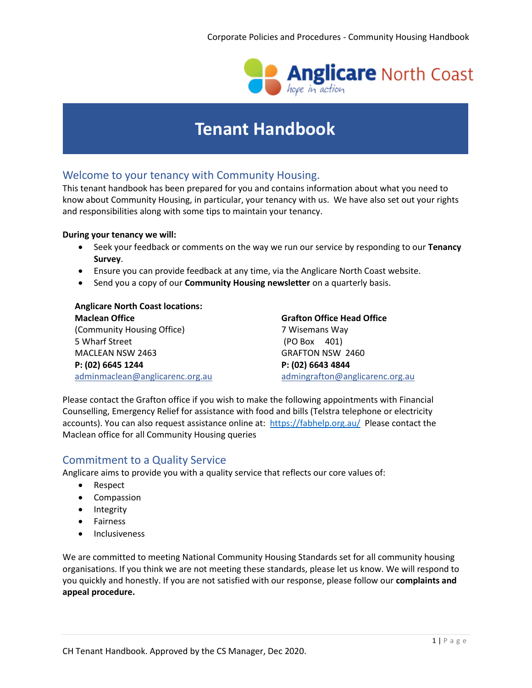

# **Tenant Handbook**

# Welcome to your tenancy with Community Housing.

This tenant handbook has been prepared for you and contains information about what you need to know about Community Housing, in particular, your tenancy with us. We have also set out your rights and responsibilities along with some tips to maintain your tenancy.

#### **During your tenancy we will:**

- Seek your feedback or comments on the way we run our service by responding to our **Tenancy Survey**.
- Ensure you can provide feedback at any time, via the Anglicare North Coast website.
- Send you a copy of our **Community Housing newsletter** on a quarterly basis.

### **Anglicare North Coast locations:**

**Maclean Office Grafton Office Head Office** (Community Housing Office) 7 Wisemans Way 5 Wharf Street (PO Box 401) MACLEAN NSW 2463 GRAFTON NSW 2460 **P: (02) 6645 1244 P: (02) 6643 4844** [adminmaclean@anglicarenc.org.au](mailto:adminmaclean@anglicarenc.org.au) admingrafton@anglicarenc.org.au

Please contact the Grafton office if you wish to make the following appointments with Financial Counselling, Emergency Relief for assistance with food and bills (Telstra telephone or electricity accounts). You can also request assistance online at:<https://fabhelp.org.au/> Please contact the Maclean office for all Community Housing queries

# Commitment to a Quality Service

Anglicare aims to provide you with a quality service that reflects our core values of:

- Respect
- Compassion
- Integrity
- **•** Fairness
- Inclusiveness

We are committed to meeting National Community Housing Standards set for all community housing organisations. If you think we are not meeting these standards, please let us know. We will respond to you quickly and honestly. If you are not satisfied with our response, please follow our **[complaints and](https://anglicarenorthcoast.org.au/contact/#complaints-appeals)  [appeal procedure.](https://anglicarenorthcoast.org.au/contact/#complaints-appeals)**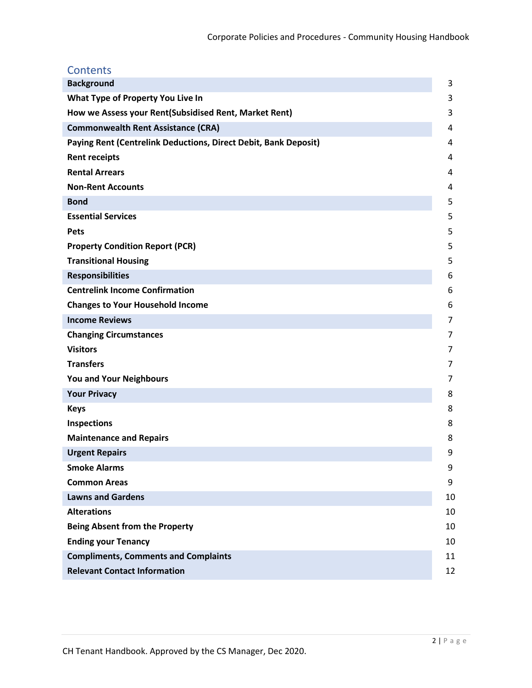| <b>Contents</b>                                                 |                |  |
|-----------------------------------------------------------------|----------------|--|
| <b>Background</b>                                               | 3              |  |
| What Type of Property You Live In                               | 3              |  |
| How we Assess your Rent(Subsidised Rent, Market Rent)           | 3              |  |
| <b>Commonwealth Rent Assistance (CRA)</b>                       |                |  |
| Paying Rent (Centrelink Deductions, Direct Debit, Bank Deposit) | $\overline{4}$ |  |
| <b>Rent receipts</b>                                            | $\overline{4}$ |  |
| <b>Rental Arrears</b>                                           | 4              |  |
| <b>Non-Rent Accounts</b>                                        | 4              |  |
| <b>Bond</b>                                                     | 5              |  |
| <b>Essential Services</b>                                       | 5              |  |
| <b>Pets</b>                                                     | 5              |  |
| <b>Property Condition Report (PCR)</b>                          | 5              |  |
| <b>Transitional Housing</b>                                     | 5              |  |
| <b>Responsibilities</b>                                         | 6              |  |
| <b>Centrelink Income Confirmation</b>                           | 6              |  |
| <b>Changes to Your Household Income</b>                         | 6              |  |
| <b>Income Reviews</b>                                           | 7              |  |
| <b>Changing Circumstances</b>                                   | 7              |  |
| <b>Visitors</b>                                                 | 7              |  |
| <b>Transfers</b>                                                | 7              |  |
| You and Your Neighbours                                         | 7              |  |
| <b>Your Privacy</b>                                             | 8              |  |
| <b>Keys</b>                                                     | 8              |  |
| <b>Inspections</b>                                              | 8              |  |
| <b>Maintenance and Repairs</b>                                  | 8              |  |
| <b>Urgent Repairs</b>                                           | 9              |  |
| <b>Smoke Alarms</b>                                             | 9              |  |
| <b>Common Areas</b>                                             | 9              |  |
| <b>Lawns and Gardens</b>                                        | 10             |  |
| <b>Alterations</b>                                              | 10             |  |
| <b>Being Absent from the Property</b>                           | 10             |  |
| <b>Ending your Tenancy</b>                                      | 10             |  |
| <b>Compliments, Comments and Complaints</b>                     | 11             |  |
| <b>Relevant Contact Information</b>                             | 12             |  |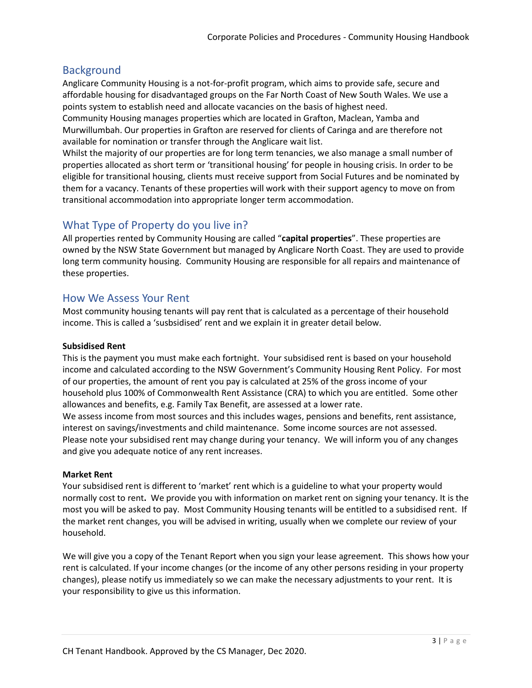# **Background**

Anglicare Community Housing is a not-for-profit program, which aims to provide safe, secure and affordable housing for disadvantaged groups on the Far North Coast of New South Wales. We use a points system to establish need and allocate vacancies on the basis of highest need.

Community Housing manages properties which are located in Grafton, Maclean, Yamba and Murwillumbah. Our properties in Grafton are reserved for clients of Caringa and are therefore not available for nomination or transfer through the Anglicare wait list.

Whilst the majority of our properties are for long term tenancies, we also manage a small number of properties allocated as short term or 'transitional housing' for people in housing crisis. In order to be eligible for transitional housing, clients must receive support from Social Futures and be nominated by them for a vacancy. Tenants of these properties will work with their support agency to move on from transitional accommodation into appropriate longer term accommodation.

# What Type of Property do you live in?

and give you adequate notice of any rent increases.

All properties rented by Community Housing are called "**capital properties**". These properties are owned by the NSW State Government but managed by Anglicare North Coast. They are used to provide long term community housing. Community Housing are responsible for all repairs and maintenance of these properties.

# How We Assess Your Rent

Most community housing tenants will pay rent that is calculated as a percentage of their household income. This is called a 'susbsidised' rent and we explain it in greater detail below.

### **Subsidised Rent**

This is the payment you must make each fortnight. Your subsidised rent is based on your household income and calculated according to the NSW Government's Community Housing Rent Policy. For most of our properties, the amount of rent you pay is calculated at 25% of the gross income of your household plus 100% of Commonwealth Rent Assistance (CRA) to which you are entitled. Some other allowances and benefits, e.g. Family Tax Benefit, are assessed at a lower rate. We assess income from most sources and this includes wages, pensions and benefits, rent assistance, interest on savings/investments and child maintenance. Some income sources are not assessed. Please note your subsidised rent may change during your tenancy. We will inform you of any changes

### **Market Rent**

Your subsidised rent is different to 'market' rent which is a guideline to what your property would normally cost to rent**.** We provide you with information on market rent on signing your tenancy. It is the most you will be asked to pay. Most Community Housing tenants will be entitled to a subsidised rent. If the market rent changes, you will be advised in writing, usually when we complete our review of your household.

We will give you a copy of the Tenant Report when you sign your lease agreement. This shows how your rent is calculated. If your income changes (or the income of any other persons residing in your property changes), please notify us immediately so we can make the necessary adjustments to your rent. It is your responsibility to give us this information.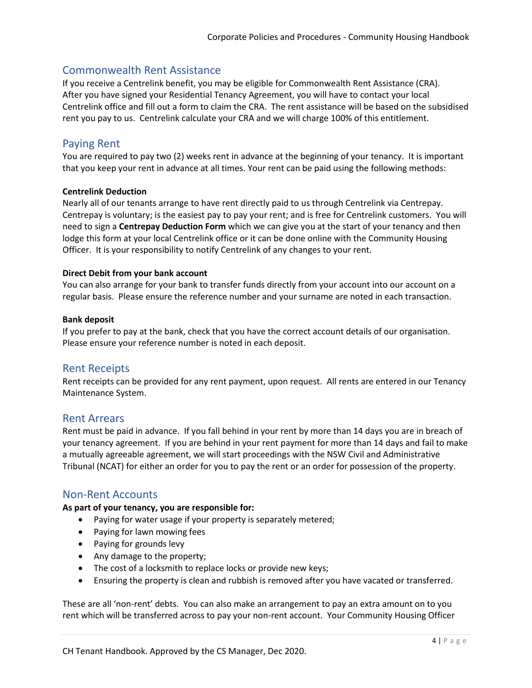# Commonwealth Rent Assistance

If you receive a Centrelink benefit, you may be eligible for Commonwealth Rent Assistance (CRA). After you have signed your Residential Tenancy Agreement, you will have to contact your local Centrelink office and fill out a form to claim the CRA. The rent assistance will be based on the subsidised rent you pay to us. Centrelink calculate your CRA and we will charge 100% of this entitlement.

# Paying Rent

You are required to pay two (2) weeks rent in advance at the beginning of your tenancy. It is important that you keep your rent in advance at all times. Your rent can be paid using the following methods:

### **Centrelink Deduction**

Nearly all of our tenants arrange to have rent directly paid to us through Centrelink via Centrepay. Centrepay is voluntary; is the easiest pay to pay your rent; and is free for Centrelink customers. You will need to sign a **Centrepay Deduction Form** which we can give you at the start of your tenancy and then lodge this form at your local Centrelink office or it can be done online with the Community Housing Officer. It is your responsibility to notify Centrelink of any changes to your rent.

### **Direct Debit from your bank account**

You can also arrange for your bank to transfer funds directly from your account into our account on a regular basis. Please ensure the reference number and your surname are noted in each transaction.

### **Bank deposit**

If you prefer to pay at the bank, check that you have the correct account details of our organisation. Please ensure your reference number is noted in each deposit.

# Rent Receipts

Rent receipts can be provided for any rent payment, upon request. All rents are entered in our Tenancy Maintenance System.

### Rent Arrears

Rent must be paid in advance. If you fall behind in your rent by more than 14 days you are in breach of your tenancy agreement. If you are behind in your rent payment for more than 14 days and fail to make a mutually agreeable agreement, we will start proceedings with the NSW Civil and Administrative Tribunal (NCAT) for either an order for you to pay the rent or an order for possession of the property.

# Non-Rent Accounts

### **As part of your tenancy, you are responsible for:**

- Paying for water usage if your property is separately metered;
- Paying for lawn mowing fees
- Paying for grounds levy
- Any damage to the property;
- The cost of a locksmith to replace locks or provide new keys;
- Ensuring the property is clean and rubbish is removed after you have vacated or transferred.

These are all 'non-rent' debts. You can also make an arrangement to pay an extra amount on to you rent which will be transferred across to pay your non-rent account. Your Community Housing Officer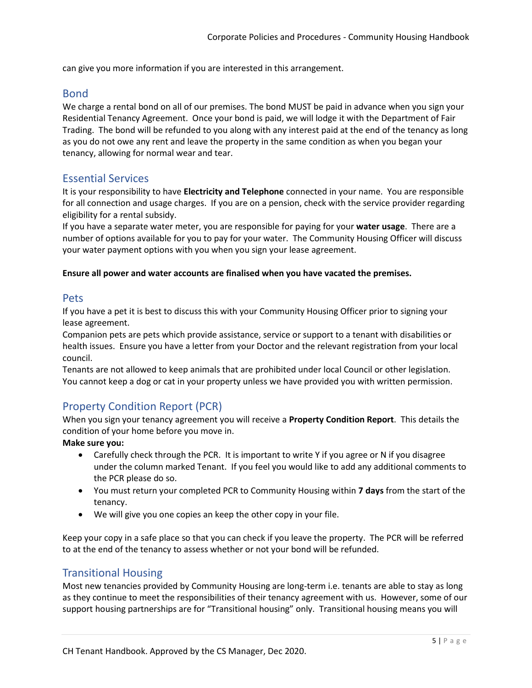can give you more information if you are interested in this arrangement.

### Bond

We charge a rental bond on all of our premises. The bond MUST be paid in advance when you sign your Residential Tenancy Agreement. Once your bond is paid, we will lodge it with the Department of Fair Trading. The bond will be refunded to you along with any interest paid at the end of the tenancy as long as you do not owe any rent and leave the property in the same condition as when you began your tenancy, allowing for normal wear and tear.

### Essential Services

It is your responsibility to have **Electricity and Telephone** connected in your name. You are responsible for all connection and usage charges. If you are on a pension, check with the service provider regarding eligibility for a rental subsidy.

If you have a separate water meter, you are responsible for paying for your **water usage**. There are a number of options available for you to pay for your water. The Community Housing Officer will discuss your water payment options with you when you sign your lease agreement.

#### **Ensure all power and water accounts are finalised when you have vacated the premises.**

### Pets

If you have a pet it is best to discuss this with your Community Housing Officer prior to signing your lease agreement.

Companion pets are pets which provide assistance, service or support to a tenant with disabilities or health issues. Ensure you have a letter from your Doctor and the relevant registration from your local council.

Tenants are not allowed to keep animals that are prohibited under local Council or other legislation. You cannot keep a dog or cat in your property unless we have provided you with written permission.

# Property Condition Report (PCR)

When you sign your tenancy agreement you will receive a **Property Condition Report**. This details the condition of your home before you move in.

**Make sure you:**

- Carefully check through the PCR. It is important to write Y if you agree or N if you disagree under the column marked Tenant. If you feel you would like to add any additional comments to the PCR please do so.
- You must return your completed PCR to Community Housing within **7 days** from the start of the tenancy.
- We will give you one copies an keep the other copy in your file.

Keep your copy in a safe place so that you can check if you leave the property. The PCR will be referred to at the end of the tenancy to assess whether or not your bond will be refunded.

### Transitional Housing

Most new tenancies provided by Community Housing are long-term i.e. tenants are able to stay as long as they continue to meet the responsibilities of their tenancy agreement with us. However, some of our support housing partnerships are for "Transitional housing" only. Transitional housing means you will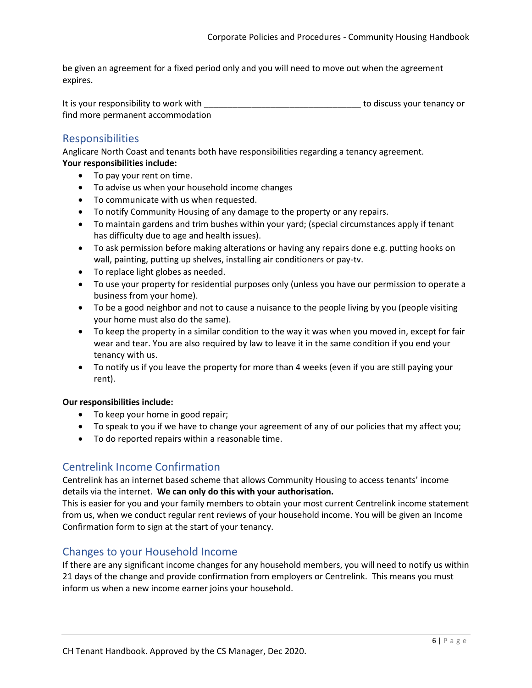be given an agreement for a fixed period only and you will need to move out when the agreement expires.

It is your responsibility to work with \_\_\_\_\_\_\_\_\_\_\_\_\_\_\_\_\_\_\_\_\_\_\_\_\_\_\_\_\_\_\_\_\_ to discuss your tenancy or find more permanent accommodation

# Responsibilities

Anglicare North Coast and tenants both have responsibilities regarding a tenancy agreement.

### **Your responsibilities include:**

- To pay your rent on time.
- To advise us when your household income changes
- To communicate with us when requested.
- To notify Community Housing of any damage to the property or any repairs.
- To maintain gardens and trim bushes within your yard; (special circumstances apply if tenant has difficulty due to age and health issues).
- To ask permission before making alterations or having any repairs done e.g. putting hooks on wall, painting, putting up shelves, installing air conditioners or pay-tv.
- To replace light globes as needed.
- To use your property for residential purposes only (unless you have our permission to operate a business from your home).
- To be a good neighbor and not to cause a nuisance to the people living by you (people visiting your home must also do the same).
- To keep the property in a similar condition to the way it was when you moved in, except for fair wear and tear. You are also required by law to leave it in the same condition if you end your tenancy with us.
- To notify us if you leave the property for more than 4 weeks (even if you are still paying your rent).

### **Our responsibilities include:**

- To keep your home in good repair;
- To speak to you if we have to change your agreement of any of our policies that my affect you;
- To do reported repairs within a reasonable time.

# Centrelink Income Confirmation

Centrelink has an internet based scheme that allows Community Housing to access tenants' income details via the internet. **We can only do this with your authorisation.**

This is easier for you and your family members to obtain your most current Centrelink income statement from us, when we conduct regular rent reviews of your household income. You will be given an Income Confirmation form to sign at the start of your tenancy.

# Changes to your Household Income

If there are any significant income changes for any household members, you will need to notify us within 21 days of the change and provide confirmation from employers or Centrelink. This means you must inform us when a new income earner joins your household.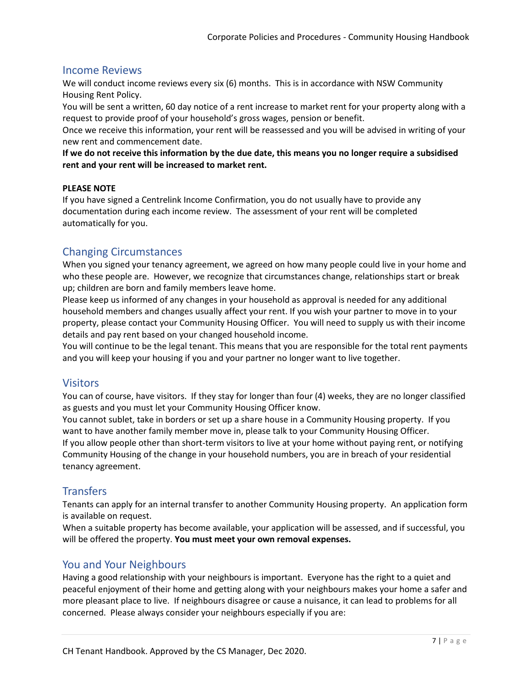# Income Reviews

We will conduct income reviews every six (6) months. This is in accordance with NSW Community Housing Rent Policy.

You will be sent a written, 60 day notice of a rent increase to market rent for your property along with a request to provide proof of your household's gross wages, pension or benefit.

Once we receive this information, your rent will be reassessed and you will be advised in writing of your new rent and commencement date.

**If we do not receive this information by the due date, this means you no longer require a subsidised rent and your rent will be increased to market rent.**

### **PLEASE NOTE**

If you have signed a Centrelink Income Confirmation, you do not usually have to provide any documentation during each income review. The assessment of your rent will be completed automatically for you.

# Changing Circumstances

When you signed your tenancy agreement, we agreed on how many people could live in your home and who these people are. However, we recognize that circumstances change, relationships start or break up; children are born and family members leave home.

Please keep us informed of any changes in your household as approval is needed for any additional household members and changes usually affect your rent. If you wish your partner to move in to your property, please contact your Community Housing Officer. You will need to supply us with their income details and pay rent based on your changed household income.

You will continue to be the legal tenant. This means that you are responsible for the total rent payments and you will keep your housing if you and your partner no longer want to live together.

# **Visitors**

You can of course, have visitors. If they stay for longer than four (4) weeks, they are no longer classified as guests and you must let your Community Housing Officer know.

You cannot sublet, take in borders or set up a share house in a Community Housing property. If you want to have another family member move in, please talk to your Community Housing Officer. If you allow people other than short-term visitors to live at your home without paying rent, or notifying Community Housing of the change in your household numbers, you are in breach of your residential tenancy agreement.

# **Transfers**

Tenants can apply for an internal transfer to another Community Housing property. An application form is available on request.

When a suitable property has become available, your application will be assessed, and if successful, you will be offered the property. **You must meet your own removal expenses.**

# You and Your Neighbours

Having a good relationship with your neighbours is important. Everyone has the right to a quiet and peaceful enjoyment of their home and getting along with your neighbours makes your home a safer and more pleasant place to live. If neighbours disagree or cause a nuisance, it can lead to problems for all concerned. Please always consider your neighbours especially if you are: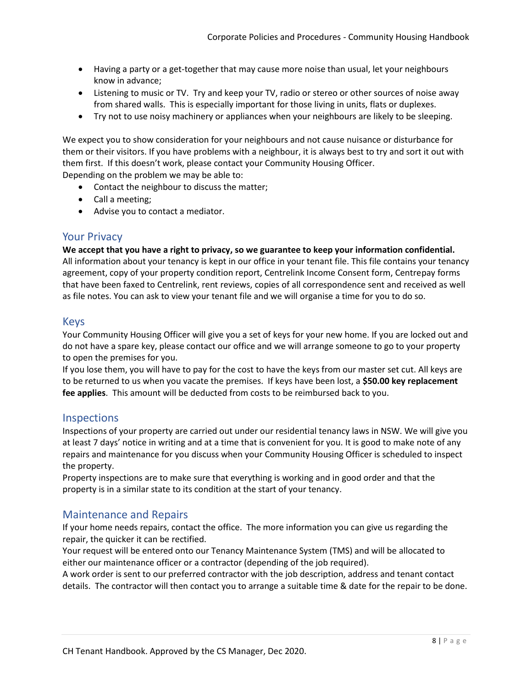- Having a party or a get-together that may cause more noise than usual, let your neighbours know in advance;
- Listening to music or TV. Try and keep your TV, radio or stereo or other sources of noise away from shared walls. This is especially important for those living in units, flats or duplexes.
- Try not to use noisy machinery or appliances when your neighbours are likely to be sleeping.

We expect you to show consideration for your neighbours and not cause nuisance or disturbance for them or their visitors. If you have problems with a neighbour, it is always best to try and sort it out with them first. If this doesn't work, please contact your Community Housing Officer. Depending on the problem we may be able to:

- Contact the neighbour to discuss the matter;
- Call a meeting;
- Advise you to contact a mediator.

### Your Privacy

**We accept that you have a right to privacy, so we guarantee to keep your information confidential.** All information about your tenancy is kept in our office in your tenant file. This file contains your tenancy agreement, copy of your property condition report, Centrelink Income Consent form, Centrepay forms that have been faxed to Centrelink, rent reviews, copies of all correspondence sent and received as well as file notes. You can ask to view your tenant file and we will organise a time for you to do so.

### Keys

Your Community Housing Officer will give you a set of keys for your new home. If you are locked out and do not have a spare key, please contact our office and we will arrange someone to go to your property to open the premises for you.

If you lose them, you will have to pay for the cost to have the keys from our master set cut. All keys are to be returned to us when you vacate the premises. If keys have been lost, a **\$50.00 key replacement fee applies**. This amount will be deducted from costs to be reimbursed back to you.

### Inspections

Inspections of your property are carried out under our residential tenancy laws in NSW. We will give you at least 7 days' notice in writing and at a time that is convenient for you. It is good to make note of any repairs and maintenance for you discuss when your Community Housing Officer is scheduled to inspect the property.

Property inspections are to make sure that everything is working and in good order and that the property is in a similar state to its condition at the start of your tenancy.

# Maintenance and Repairs

If your home needs repairs, contact the office. The more information you can give us regarding the repair, the quicker it can be rectified.

Your request will be entered onto our Tenancy Maintenance System (TMS) and will be allocated to either our maintenance officer or a contractor (depending of the job required).

A work order is sent to our preferred contractor with the job description, address and tenant contact details. The contractor will then contact you to arrange a suitable time & date for the repair to be done.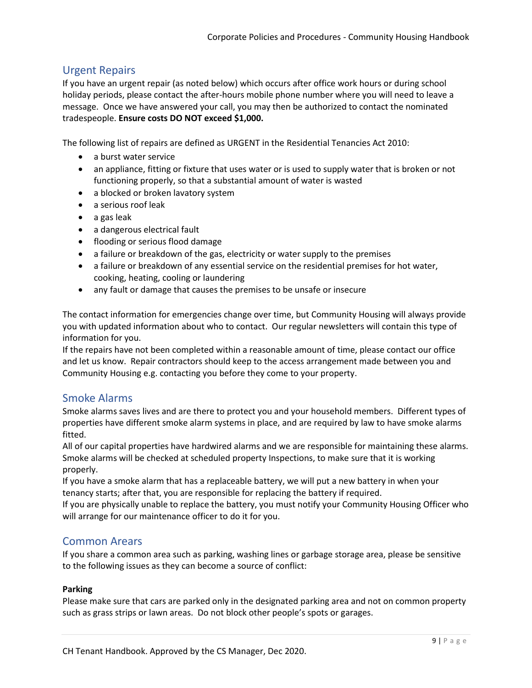# Urgent Repairs

If you have an urgent repair (as noted below) which occurs after office work hours or during school holiday periods, please contact the after-hours mobile phone number where you will need to leave a message. Once we have answered your call, you may then be authorized to contact the nominated tradespeople. **Ensure costs DO NOT exceed \$1,000.**

The following list of repairs are defined as URGENT in the Residential Tenancies Act 2010:

- a burst water service
- an appliance, fitting or fixture that uses water or is used to supply water that is broken or not functioning properly, so that a substantial amount of water is wasted
- a blocked or broken lavatory system
- a serious roof leak
- $\bullet$  a gas leak
- a dangerous electrical fault
- flooding or serious flood damage
- a failure or breakdown of the gas, electricity or water supply to the premises
- a failure or breakdown of any essential service on the residential premises for hot water, cooking, heating, cooling or laundering
- any fault or damage that causes the premises to be unsafe or insecure

The contact information for emergencies change over time, but Community Housing will always provide you with updated information about who to contact. Our regular newsletters will contain this type of information for you.

If the repairs have not been completed within a reasonable amount of time, please contact our office and let us know. Repair contractors should keep to the access arrangement made between you and Community Housing e.g. contacting you before they come to your property.

# Smoke Alarms

Smoke alarms saves lives and are there to protect you and your household members. Different types of properties have different smoke alarm systems in place, and are required by law to have smoke alarms fitted.

All of our capital properties have hardwired alarms and we are responsible for maintaining these alarms. Smoke alarms will be checked at scheduled property Inspections, to make sure that it is working properly.

If you have a smoke alarm that has a replaceable battery, we will put a new battery in when your tenancy starts; after that, you are responsible for replacing the battery if required.

If you are physically unable to replace the battery, you must notify your Community Housing Officer who will arrange for our maintenance officer to do it for you.

# Common Arears

If you share a common area such as parking, washing lines or garbage storage area, please be sensitive to the following issues as they can become a source of conflict:

### **Parking**

Please make sure that cars are parked only in the designated parking area and not on common property such as grass strips or lawn areas. Do not block other people's spots or garages.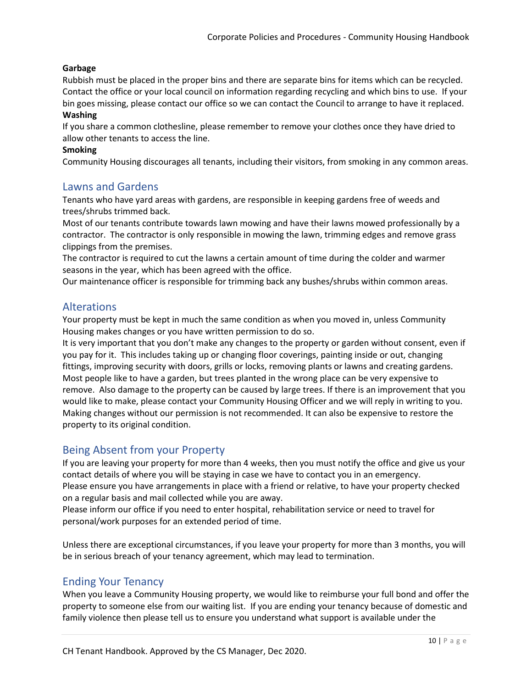### **Garbage**

Rubbish must be placed in the proper bins and there are separate bins for items which can be recycled. Contact the office or your local council on information regarding recycling and which bins to use. If your bin goes missing, please contact our office so we can contact the Council to arrange to have it replaced. **Washing**

If you share a common clothesline, please remember to remove your clothes once they have dried to allow other tenants to access the line.

### **Smoking**

Community Housing discourages all tenants, including their visitors, from smoking in any common areas.

### Lawns and Gardens

Tenants who have yard areas with gardens, are responsible in keeping gardens free of weeds and trees/shrubs trimmed back.

Most of our tenants contribute towards lawn mowing and have their lawns mowed professionally by a contractor. The contractor is only responsible in mowing the lawn, trimming edges and remove grass clippings from the premises.

The contractor is required to cut the lawns a certain amount of time during the colder and warmer seasons in the year, which has been agreed with the office.

Our maintenance officer is responsible for trimming back any bushes/shrubs within common areas.

# Alterations

Your property must be kept in much the same condition as when you moved in, unless Community Housing makes changes or you have written permission to do so.

It is very important that you don't make any changes to the property or garden without consent, even if you pay for it. This includes taking up or changing floor coverings, painting inside or out, changing fittings, improving security with doors, grills or locks, removing plants or lawns and creating gardens. Most people like to have a garden, but trees planted in the wrong place can be very expensive to remove. Also damage to the property can be caused by large trees. If there is an improvement that you would like to make, please contact your Community Housing Officer and we will reply in writing to you. Making changes without our permission is not recommended. It can also be expensive to restore the property to its original condition.

# Being Absent from your Property

If you are leaving your property for more than 4 weeks, then you must notify the office and give us your contact details of where you will be staying in case we have to contact you in an emergency. Please ensure you have arrangements in place with a friend or relative, to have your property checked on a regular basis and mail collected while you are away.

Please inform our office if you need to enter hospital, rehabilitation service or need to travel for personal/work purposes for an extended period of time.

Unless there are exceptional circumstances, if you leave your property for more than 3 months, you will be in serious breach of your tenancy agreement, which may lead to termination.

# Ending Your Tenancy

When you leave a Community Housing property, we would like to reimburse your full bond and offer the property to someone else from our waiting list. If you are ending your tenancy because of domestic and family violence then please tell us to ensure you understand what support is available under the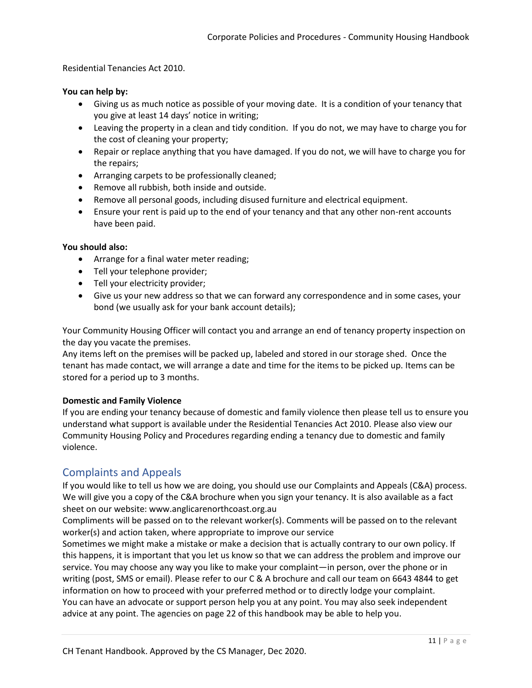Residential Tenancies Act 2010.

### **You can help by:**

- Giving us as much notice as possible of your moving date. It is a condition of your tenancy that you give at least 14 days' notice in writing;
- Leaving the property in a clean and tidy condition. If you do not, we may have to charge you for the cost of cleaning your property;
- Repair or replace anything that you have damaged. If you do not, we will have to charge you for the repairs;
- Arranging carpets to be professionally cleaned;
- Remove all rubbish, both inside and outside.
- Remove all personal goods, including disused furniture and electrical equipment.
- Ensure your rent is paid up to the end of your tenancy and that any other non-rent accounts have been paid.

#### **You should also:**

- Arrange for a final water meter reading;
- Tell your telephone provider;
- Tell your electricity provider;
- Give us your new address so that we can forward any correspondence and in some cases, your bond (we usually ask for your bank account details);

Your Community Housing Officer will contact you and arrange an end of tenancy property inspection on the day you vacate the premises.

Any items left on the premises will be packed up, labeled and stored in our storage shed. Once the tenant has made contact, we will arrange a date and time for the items to be picked up. Items can be stored for a period up to 3 months.

### **Domestic and Family Violence**

If you are ending your tenancy because of domestic and family violence then please tell us to ensure you understand what support is available under the Residential Tenancies Act 2010. Please also view our Community Housing Policy and Procedures regarding ending a tenancy due to domestic and family violence.

# Complaints and Appeals

If you would like to tell us how we are doing, you should use our Complaints and Appeals (C&A) process. We will give you a copy of the C&A brochure when you sign your tenancy. It is also available as a fact sheet on our website: www.anglicarenorthcoast.org.au

Compliments will be passed on to the relevant worker(s). Comments will be passed on to the relevant worker(s) and action taken, where appropriate to improve our service

Sometimes we might make a mistake or make a decision that is actually contrary to our own policy. If this happens, it is important that you let us know so that we can address the problem and improve our service. You may choose any way you like to make your complaint—in person, over the phone or in writing (post, SMS or email). Please refer to our C & A brochure and call our team on 6643 4844 to get information on how to proceed with your preferred method or to directly lodge your complaint. You can have an advocate or support person help you at any point. You may also seek independent advice at any point. The agencies on page 22 of this handbook may be able to help you.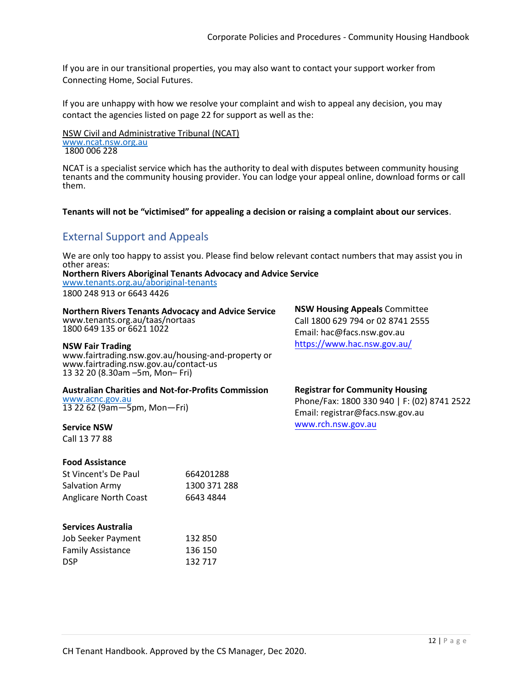If you are in our transitional properties, you may also want to contact your support worker from Connecting Home, Social Futures.

If you are unhappy with how we resolve your complaint and wish to appeal any decision, you may contact the agencies listed on page 22 for support as well as the:

NSW Civil and Administrative Tribunal (NCAT) [www.ncat.nsw.org.au](http://www.ncat.nsw.org.au/) 1800 006 228

NCAT is a specialist service which has the authority to deal with disputes between community housing tenants and the community housing provider. You can lodge your appeal online, download forms or call them.

#### **Tenants will not be "victimised" for appealing a decision or raising a complaint about our services**.

# External Support and Appeals

We are only too happy to assist you. Please find below relevant contact numbers that may assist you in other areas:

**Northern Rivers Aboriginal Tenants Advocacy and Advice Service**  [www.tenants.org.au/aboriginal-tenants](http://www.tenants.org.au/aboriginal-tenants)

1800 248 913 or 6643 4426

**Northern Rivers Tenants Advocacy and Advice Service**  www.tenants.org.au/taas/nortaas 1800 649 135 or 6621 1022

#### **NSW Fair Trading**

www.fairtrading.nsw.gov.au/housing-and-property or www.fairtrading.nsw.gov.au/contact-us 13 32 20 (8.30am –5m, Mon– Fri)

#### **Australian Charities and Not-for-Profits Commission**

[www.acnc.gov.au](http://www.acnc.gov.au/) 13 22 62 (9am—5pm, Mon—Fri)

#### **Service NSW**

Call 13 77 88

#### **Food Assistance**

| St Vincent's De Paul  | 664201288    |
|-----------------------|--------------|
| Salvation Army        | 1300 371 288 |
| Anglicare North Coast | 6643 4844    |

#### **Services Australia**

| Job Seeker Payment       | 132 850 |
|--------------------------|---------|
| <b>Family Assistance</b> | 136 150 |
| <b>DSP</b>               | 132 717 |

**NSW Housing Appeals** Committee Call 1800 629 794 or 02 8741 2555 Email: hac@facs.nsw.gov.au https://www.hac.nsw.gov.au/

#### **Registrar for Community Housing**

Phone/Fax: 1800 330 940 | F: (02) 8741 2522 Email: registrar@facs.nsw.gov.au www.rch.nsw.gov.au